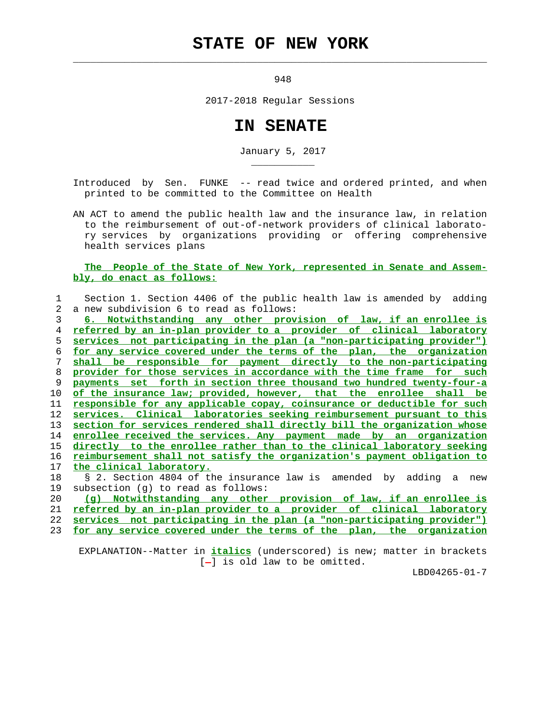## **STATE OF NEW YORK**

 $\mathcal{L}_\text{max} = \frac{1}{2} \sum_{i=1}^{n} \frac{1}{2} \sum_{i=1}^{n} \frac{1}{2} \sum_{i=1}^{n} \frac{1}{2} \sum_{i=1}^{n} \frac{1}{2} \sum_{i=1}^{n} \frac{1}{2} \sum_{i=1}^{n} \frac{1}{2} \sum_{i=1}^{n} \frac{1}{2} \sum_{i=1}^{n} \frac{1}{2} \sum_{i=1}^{n} \frac{1}{2} \sum_{i=1}^{n} \frac{1}{2} \sum_{i=1}^{n} \frac{1}{2} \sum_{i=1}^{n} \frac{1$ 

\_\_\_\_\_\_\_\_\_\_\_

948

2017-2018 Regular Sessions

## **IN SENATE**

January 5, 2017

 Introduced by Sen. FUNKE -- read twice and ordered printed, and when printed to be committed to the Committee on Health

 AN ACT to amend the public health law and the insurance law, in relation to the reimbursement of out-of-network providers of clinical laborato ry services by organizations providing or offering comprehensive health services plans

## **The People of the State of New York, represented in Senate and Assem bly, do enact as follows:**

 1 Section 1. Section 4406 of the public health law is amended by adding 2 a new subdivision 6 to read as follows:

**6. Notwithstanding any other provision of law, if an enrollee is referred by an in-plan provider to a provider of clinical laboratory services not participating in the plan (a "non-participating provider") for any service covered under the terms of the plan, the organization shall be responsible for payment directly to the non-participating provider for those services in accordance with the time frame for such payments set forth in section three thousand two hundred twenty-four-a of the insurance law; provided, however, that the enrollee shall be responsible for any applicable copay, coinsurance or deductible for such services. Clinical laboratories seeking reimbursement pursuant to this section for services rendered shall directly bill the organization whose enrollee received the services. Any payment made by an organization directly to the enrollee rather than to the clinical laboratory seeking reimbursement shall not satisfy the organization's payment obligation to the clinical laboratory.**

 18 § 2. Section 4804 of the insurance law is amended by adding a new 19 subsection (g) to read as follows:

**(g) Notwithstanding any other provision of law, if an enrollee is referred by an in-plan provider to a provider of clinical laboratory services not participating in the plan (a "non-participating provider") for any service covered under the terms of the plan, the organization**

 EXPLANATION--Matter in **italics** (underscored) is new; matter in brackets  $[-]$  is old law to be omitted.

LBD04265-01-7